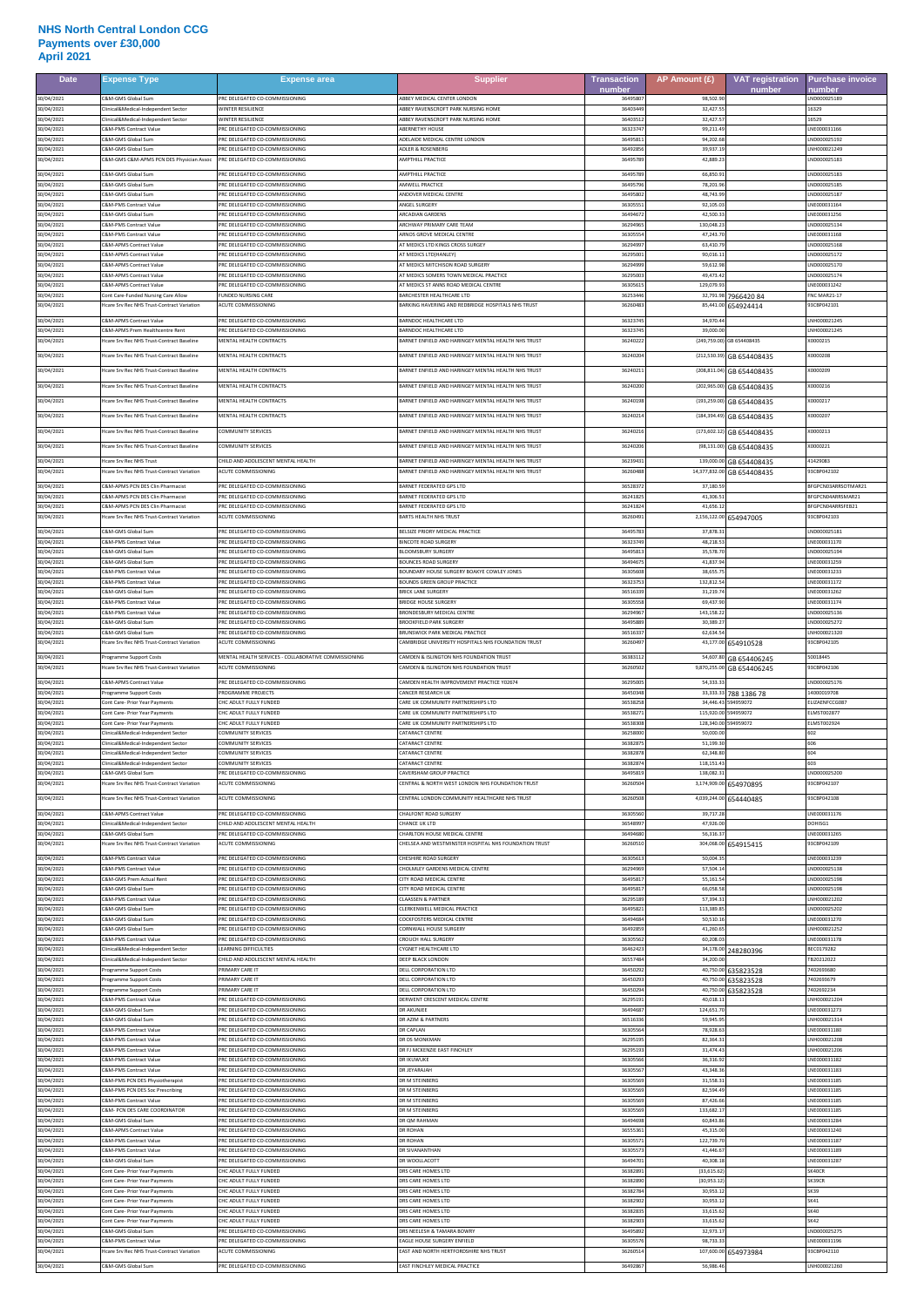## **NHS North Central London CCG Payments over £30,000 April 2021**

| <b>Date</b>              | <b>Expense Type</b>                                                                      | <b>Expense area</b>                                              | <b>Supplier</b>                                                                                           | <b>Transaction</b><br>number | AP Amount (£)                | <b>VAT registration</b><br>number | <b>Purchase invoice</b><br>number |
|--------------------------|------------------------------------------------------------------------------------------|------------------------------------------------------------------|-----------------------------------------------------------------------------------------------------------|------------------------------|------------------------------|-----------------------------------|-----------------------------------|
| 30/04/2021               | &M-GMS Global Sum                                                                        | RC DELEGATED CO-COMMISSIONING                                    | <b>IBBEY MEDICAL CENTER LONDON</b>                                                                        | 364958                       | 98,502.9                     |                                   | ND000025189                       |
| 30/04/2021               | linical&Medical-Independent Sector                                                       | WINTER RESILIENCE                                                | <b>IBBEY RAVENSCROFT PARK NURSING HOME</b>                                                                | 3640344                      | 32,427.5                     |                                   | 16329                             |
| 30/04/2021               | linical&Medical-Independent Sector                                                       | <b><i>NINTER RESILIENCE</i></b>                                  | BBEY RAVENSCROFT PARK NURSING HOME                                                                        | 3640351                      | 32.427.5                     |                                   | 16529                             |
| 30/04/2021               | <b>SM-PMS Contract Value</b>                                                             | RC DELEGATED CO-COMMISSIONING                                    | <b>BERNETHY HOUSE</b>                                                                                     | 3632374                      | 99,211.4                     |                                   | LNE000031166                      |
| 30/04/2021               | &M-GMS Global Sum                                                                        | RC DELEGATED CO-COMMISSIONING                                    | ADELAIDE MEDICAL CENTRE LONDON                                                                            | 3649581                      | 94,202.6                     |                                   | ND000025192                       |
| 30/04/2021               | C&M-GMS Global Sum<br>C&M-GMS C&M-APMS PCN DES Physician Assoc                           | PRC DELEGATED CO-COMMISSIONING<br>PRC DELEGATED CO-COMMISSIONING | ADLER & ROSENBERG<br><b>AMPTHILL PRACTICE</b>                                                             | 3649285<br>3649578           | 39.937.1<br>42,889.2         |                                   | LNH000021249<br>LND000025183      |
| 30/04/2021<br>30/04/2021 | &M-GMS Global Sum                                                                        | RC DELEGATED CO-COMMISSIONING                                    | <b>MPTHILL PRACTICE</b>                                                                                   | 3649578                      | 66,850.9                     |                                   | LND000025183                      |
| 30/04/2021               | &M-GMS Global Sum                                                                        | PRC DELEGATED CO-COMMISSIONING                                   | <b>MWELL PRACTICE</b>                                                                                     | 3649579                      | 78.201.9                     |                                   | ND000025185                       |
| 30/04/2021               | &M-GMS Global Sum                                                                        | RC DELEGATED CO-COMMISSIONING                                    | NDOVER MEDICAL CENTRE                                                                                     | 3649580                      | 48,743.9                     |                                   | LND000025187                      |
| 30/04/2021               | &M-PMS Contract Value                                                                    | RC DELEGATED CO-COMMISSIONING                                    | INGEL SURGERY                                                                                             | 3630555                      | 92,105.0                     |                                   | LNE000031164                      |
| 30/04/2021               | C&M-GMS Global Sum                                                                       | PRC DELEGATED CO-COMMISSIONING                                   | <b>ARCADIAN GARDENS</b>                                                                                   | 3649467                      | 42,500.3                     |                                   | LNE000031256                      |
| 30/04/2021               | C&M-PMS Contract Value                                                                   | RC DELEGATED CO-COMMISSIONING                                    | RCHWAY PRIMARY CARE TEAM                                                                                  | 3629496                      | 130,048.2                    |                                   | LND000025134                      |
| 30/04/2021               | &M-PMS Contract Value                                                                    | RC DELEGATED CO-COMMISSIONING                                    | <b>RNOS GROVE MEDICAL CENTRE</b>                                                                          | 3630555                      | 47.243.7                     |                                   | LNE000031168                      |
| 30/04/2021               | &M-APMS Contract Value                                                                   | PRC DELEGATED CO-COMMISSIONING                                   | <b>IT MEDICS LTD KINGS CROSS SURGEY</b>                                                                   | 3629499                      | 63,410.7                     |                                   | ND000025168                       |
| 30/04/2021               | <b>&amp;M-APMS Contract Value</b>                                                        | PRC DELEGATED CO-COMMISSIONING                                   | AT MEDICS LTD(HANLEY)                                                                                     | 3629500                      | 90,016.1                     |                                   | LND000025172                      |
| 30/04/2021               | &M-APMS Contract Value                                                                   | RC DELEGATED CO-COMMISSIONING                                    | AT MEDICS MITCHISON ROAD SURGERY                                                                          | 3629499                      | 59,612.9                     |                                   | ND000025170                       |
| 30/04/2021               | C&M-APMS Contract Value                                                                  | PRC DELEGATED CO-COMMISSIONING                                   | AT MEDICS SOMERS TOWN MEDICAL PRACTICE                                                                    | 3629500                      | 49,473.4                     |                                   | LND000025174                      |
| 30/04/2021               | <b>&amp;M-APMS Contract Value</b>                                                        | RC DELEGATED CO-COMMISSIONING                                    | AT MEDICS ST ANNS ROAD MEDICAL CENTRE                                                                     | 3630561                      | 129.079.9                    |                                   | LNE000031242                      |
| 30/04/2021               | ont Care-Funded Nursing Care Allow                                                       | <b>UNDED NURSING CARE</b>                                        | ARCHESTER HEALTHCARE LTD                                                                                  | 362534                       | 32,791.98                    | 796642084                         | NC MAR21-17                       |
| 30/04/2021               | Icare Srv Rec NHS Trust-Contract Variation                                               | <b>ACUTE COMMISSIONING</b>                                       | ARKING HAVERING AND REDBRIDGE HOSPITALS NHS TRUST                                                         | 3626048                      | 85,441.0                     | 654924414                         | 93CBP042101                       |
| 30/04/2021               | C&M-APMS Contract Value                                                                  | PRC DELEGATED CO-COMMISSIONING                                   | BARNDOC HEALTHCARE LTD                                                                                    | 3632374                      | 34,970.4                     |                                   | LNH000021245                      |
| 30/04/2021               | C&M-APMS Prem Healthcentre Rent                                                          | PRC DELEGATED CO-COMMISSIONING                                   | ARNDOC HEALTHCARE LTD                                                                                     | 3632374                      | 39,000.0                     |                                   | LNH000021245                      |
| 30/04/2021<br>30/04/2021 | Hcare Srv Rec NHS Trust-Contract Baseline<br>Icare Srv Rec NHS Trust-Contract Baseline   | MENTAL HEALTH CONTRACTS<br><b>MENTAL HEALTH CONTRACTS</b>        | SARNET ENFIELD AND HARINGEY MENTAL HEALTH NHS TRUST<br>ARNET ENFIELD AND HARINGEY MENTAL HEALTH NHS TRUST | 3624022<br>3624020           |                              | (249,759.00) GB 654408435         | X0000215<br>0000208               |
| 30/04/2021               | Icare Sry Rec NHS Trust-Contract Baseline                                                | MENTAL HEALTH CONTRACTS                                          | ARNET ENFIELD AND HARINGEY MENTAL HEALTH NHS TRUST                                                        | 3624021                      | (212,530.39<br>(208, 811.04) | GB 654408435<br>GB 654408435      | (0000209                          |
| 30/04/2021               | Hcare Srv Rec NHS Trust-Contract Baseline                                                | MENTAL HEALTH CONTRACTS                                          | BARNET ENFIELD AND HARINGEY MENTAL HEALTH NHS TRUST                                                       | 3624020                      | (202,965.0                   | GB 654408435                      | (0000216                          |
| 30/04/2021               | Hcare Srv Rec NHS Trust-Contract Baseline                                                | MENTAL HEALTH CONTRACTS                                          | ARNET ENFIELD AND HARINGEY MENTAL HEALTH NHS TRUST                                                        | 3624019                      | (193,259.0                   | GB 654408435                      | (0000217                          |
| 30/04/2021               | Icare Srv Rec NHS Trust-Contract Baseline                                                | <b>MENTAL HEALTH CONTRACTS</b>                                   | ARNET ENFIELD AND HARINGEY MENTAL HEALTH NHS TRUST                                                        | 3624021                      | (184,394.49                  | GB 654408435                      | 0000207                           |
| 30/04/2021               | Icare Srv Rec NHS Trust-Contract Baseline                                                | COMMUNITY SERVICES                                               | ARNET ENFIELD AND HARINGEY MENTAL HEALTH NHS TRUST                                                        | 3624021                      | (173, 602.1)                 | GB 654408435                      | (0000213                          |
| 30/04/2021               | Icare Srv Rec NHS Trust-Contract Baseline                                                | COMMUNITY SERVICES                                               | ARNET ENFIELD AND HARINGEY MENTAL HEALTH NHS TRUST                                                        | 3624020                      | (98, 131.00)                 | GB 654408435                      | 0000221                           |
| 30/04/2021               | Hoare Sry Rec NHS Trust                                                                  | CHILD AND ADOLESCENT MENTAL HEALTH                               | <b>BARNET ENFIELD AND HARINGEY MENTAL HEALTH NHS TRUST</b>                                                | 3623943                      | 139,000.0                    |                                   | 41429083                          |
| 30/04/2021               | Icare Sry Rec NHS Trust-Contract Variation                                               | <b>ACUTE COMMISSIONING</b>                                       | ARNET ENFIELD AND HARINGEY MENTAL HEALTH NHS TRUST                                                        | 3626048                      | 14,377,832.00                | GB 654408435<br>GB 654408435      | 93CBP042102                       |
| 30/04/2021               | SM-APMS PCN DES Clin Pharmacist                                                          | RC DELEGATED CO-COMMISSIONING                                    | <b>MARNET FEDERATED GPS LTD</b>                                                                           | 3652837                      | 37,180.5                     |                                   | BFGPCN03ARRSOTMAR21               |
| 30/04/2021               | &M-APMS PCN DES Clin Pharmacist                                                          | PRC DELEGATED CO-COMMISSIONING                                   | <b>ARNET FEDERATED GPS LTD</b>                                                                            | 3624182                      | 41,306.5                     |                                   | BFGPCN04ARRSMAR21                 |
| 30/04/2021               | &M-APMS PCN DES Clin Pharmacist                                                          | PRC DELEGATED CO-COMMISSIONING                                   | ARNET FEDERATED GPS LTD                                                                                   | 3624182                      | 41,656.1                     |                                   | BFGPCN04ARRSFEB21                 |
| 30/04/2021               | Hcare Srv Rec NHS Trust-Contract Variation                                               | <b>ACUTE COMMISSIONING</b>                                       | ARTS HEALTH NHS TRUST                                                                                     | 3626049                      | 2,156,122.00                 | 654947005                         | 93CBP042103                       |
| 30/04/2021               | C&M-GMS Global Sum                                                                       | PRC DELEGATED CO-COMMISSIONING                                   | BELSIZE PRIORY MEDICAL PRACTICE                                                                           | 3649578                      | 37,878.3                     |                                   | LND000025181                      |
| 30/04/2021               | C&M-PMS Contract Value                                                                   | PRC DELEGATED CO-COMMISSIONING                                   | INCOTE ROAD SURGERY                                                                                       | 3632374                      | 48,218.5                     |                                   | LNE000031170                      |
| 30/04/2021               | &M-GMS Global Sum                                                                        | RC DELEGATED CO-COMMISSIONING                                    | LOOMSBURY SURGERY                                                                                         | 3649581                      | 35,578.7                     |                                   | LND000025194                      |
| 30/04/2021               | &M-GMS Global Sum                                                                        | PRC DELEGATED CO-COMMISSIONING                                   | <b>OUNCES ROAD SURGERY</b>                                                                                | 3649467                      | 41.837.9                     |                                   | LNE000031259                      |
| 30/04/2021               | &M-PMS Contract Value                                                                    | PRC DELEGATED CO-COMMISSIONING                                   | BOUNDARY HOUSE SURGERY BOAKYE COWLEY JONES                                                                | 3630560                      | 38,655.7                     |                                   | LNE000031233                      |
| 30/04/2021               | C&M-PMS Contract Value                                                                   | PRC DELEGATED CO-COMMISSIONING                                   | BOUNDS GREEN GROUP PRACTICE                                                                               | 3632375                      | 132,812.5                    |                                   | LNE000031172                      |
| 30/04/2021               | <b>C&amp;M-GMS Global Sum</b>                                                            | PRC DELEGATED CO-COMMISSIONING                                   | <b>BRICK LANE SURGERY</b>                                                                                 | 3651633                      | 31,219.7                     |                                   | LNE000031262                      |
| 30/04/2021               | &M-PMS Contract Value                                                                    | RC DELEGATED CO-COMMISSIONING                                    | <b>RIDGE HOUSE SURGERY</b>                                                                                | 3630555                      | 69,437.9                     |                                   | NE000031174                       |
| 30/04/2021               | &M-PMS Contract Value                                                                    | RC DELEGATED CO-COMMISSIONING                                    | RONDESBURY MEDICAL CENTRE                                                                                 | 3629496                      | 143,158.2                    |                                   | ND000025136                       |
| 30/04/2021               | &M-GMS Global Sum                                                                        | RC DELEGATED CO-COMMISSIONING                                    | ROOKFIELD PARK SURGERY                                                                                    | 3649588                      | 30.389.2                     |                                   | LND000025272                      |
| 30/04/2021               | &M-GMS Global Sum                                                                        | PRC DELEGATED CO-COMMISSIONING                                   | RUNSWICK PARK MEDICAL PRACTICE                                                                            | 3651633                      | 62,634.54                    |                                   | LNH000021320                      |
| 30/04/2021               | Icare Srv Rec NHS Trust-Contract Variation                                               | <b>ACUTE COMMISSIONING</b>                                       | AMBRIDGE UNIVERSITY HOSPITALS NHS FOUNDATION TRUST                                                        | 3626049                      |                              | 43,177.00 654910528               | 93CBP042105                       |
| 30/04/2021               | rogramme Support Costs                                                                   | MENTAL HEALTH SERVICES - COLLABORATIVE COMMISSIONING             | CAMDEN & ISLINGTON NHS FOUNDATION TRUST                                                                   | 3638311                      | 54,607.80                    | GB 654406245                      | 50018445                          |
| 30/04/2021               | care Srv Rec NHS Trust-Contract Variation                                                | <b>CUTE COMMISSIONING</b>                                        | AMDEN & ISLINGTON NHS FOUNDATION TRUST                                                                    | 3626050                      | 9,870,255.00                 | GB 654406245                      | 3CBP042106                        |
| 30/04/2021               | C&M-APMS Contract Value<br>rogramme Support Costs                                        | PRC DELEGATED CO-COMMISSIONING                                   | CAMDEN HEALTH IMPROVEMENT PRACTICE Y02674<br><b>ANCER RESEARCH LIK</b>                                    | 3629500                      | 54,333.3                     |                                   | LND000025176                      |
| 30/04/2021<br>30/04/2021 | ont Care- Prior Year Payments                                                            | PROGRAMME PROJECTS<br>HC ADULT FULLY FUNDED                      | ARE UK COMMUNITY PARTNERSHIPS LTD                                                                         | 3645034<br>3653825           | 33,333.3<br>34,446.4         | 788 1386 78<br>594959072          | 14000019708<br>ELIZAENFCCG087     |
| 30/04/2021               | Cont Care- Prior Year Payments                                                           | CHC ADUIT FULLY FUNDED                                           | CARE UK COMMUNITY PARTNERSHIPS LTD                                                                        | 3653827                      | 115.920.0                    | 594959072                         | ELMST002877                       |
| 30/04/2021               | ont Care- Prior Year Payments                                                            | HC ADULT FULLY FUNDED                                            | ARE UK COMMUNITY PARTNERSHIPS LTD                                                                         | 3653830                      | 128,340.0                    | 594959072                         | ELMST002924                       |
| 30/04/2021               | linical&Medical-Independent Sector                                                       | OMMUNITY SERVICES                                                | ATARACT CENTRE                                                                                            | 362580                       | 50,000.0                     |                                   | 602                               |
| 30/04/2021               | linical&Medical-Independent Sector                                                       | <b>COMMUNITY SERVICES</b>                                        | ATARACT CENTRE                                                                                            | 3638287                      | 51.199.3                     |                                   | 606                               |
| 30/04/2021               | linical&Medical-Independent Sector                                                       | COMMUNITY SERVICES                                               | <b>ATARACT CENTRE</b>                                                                                     | 3638287                      | 62 348 8                     |                                   | <b>FO4</b>                        |
| 30/04/2021               | Clinical&Medical-Independent Sector                                                      | COMMUNITY SERVICES                                               | CATARACT CENTRE                                                                                           | 3638287                      | 118,151.4                    |                                   | 603                               |
| 30/04/2021               | &M-GMS Global Sum                                                                        | PRC DELEGATED CO-COMMISSIONING                                   | AVERSHAM GROUP PRACTICE                                                                                   | 3649581                      | 138.082.3                    |                                   | ND000025200                       |
| 30/04/2021<br>30/04/2021 | Hcare Srv Rec NHS Trust-Contract Variation<br>Icare Srv Rec NHS Trust-Contract Variation | ACUTE COMMISSIONING<br>ACUTE COMMISSIONING                       | CENTRAL & NORTH WEST LONDON NHS FOUNDATION TRUST<br>ENTRAL LONDON COMMUNITY HEALTHCARE NHS TRUST          | 3626050<br>3626050           | 4,039,244.00                 | 3,174,909.00 654970895            | 93CBP042107<br>93CBP042108        |
| 30/04/2021               | C&M-APMS Contract Value                                                                  | PRC DELEGATED CO-COMMISSIONING                                   | CHALFONT ROAD SURGERY                                                                                     | 3630556                      | 39,717.2                     | 654440485                         | LNE000031176                      |
| 30/04/2021               | linical&Medical-Independent Sector                                                       | HILD AND ADOLESCENT MENTAL HEALTH                                | CHANCE UK LTD                                                                                             | 365489                       | 47,926.0                     |                                   | DOHISG1                           |
| 30/04/2021               | C&M-GMS Global Sum                                                                       | PRC DELEGATED CO-COMMISSIONING                                   | CHARLTON HOUSE MEDICAL CENTRE                                                                             | 3649468                      | 56,316.3                     |                                   | LNE000031265                      |
| 30/04/2021               | Hoare Sry Rec NHS Trust-Contract Variation                                               | ACUTE COMMISSIONING                                              | CHELSEA AND WESTMINSTER HOSPITAL NHS FOUNDATION TRUST                                                     | 3626051                      | 304,068.00                   | 654915415                         | 93CBP042109                       |
| 30/04/2021               | &M-PMS Contract Value                                                                    | PRC DELEGATED CO-COMMISSIONING                                   | HESHIRE ROAD SURGERY                                                                                      | 3630561                      | 50,004.3                     |                                   | LNE000031239                      |
| 30/04/2021               | <b>&amp;M-PMS Contract Value</b>                                                         | PRC DELEGATED CO-COMMISSIONING                                   | HOLMLEY GARDENS MEDICAL CENTRE                                                                            | 3629496                      | 57.504.1                     |                                   | ND000025138                       |
| 30/04/2021               | &M-GMS Prem Actual Rent                                                                  | PRC DELEGATED CO-COMMISSIONING                                   | CITY ROAD MEDICAL CENTRE                                                                                  | 3649581                      | 55,161.                      |                                   | LND000025198                      |
| 30/04/2021               | <b>2&amp;M-GMS Global Sum</b>                                                            | RC DELEGATED CO-COMMISSIONING                                    | <b>ITY ROAD MEDICAL CENTRE</b>                                                                            | 3649581                      | 66,058.5                     |                                   | LND000025198                      |
| 30/04/2021               | C&M-PMS Contract Value                                                                   | PRC DELEGATED CO-COMMISSIONING                                   | <b>CLAASSEN &amp; PARTNER</b>                                                                             | 3629518                      | 57.394.3                     |                                   | NH000021202                       |
| 30/04/2021               | <b>&amp;M-GMS Global Sun</b>                                                             | PRC DELEGATED CO-COMMISSIONING                                   | LERKENWELL MEDICAL PRACTICE                                                                               | 3649582                      | 113.389.8                    |                                   | ND000025202                       |
| 30/04/2021               | &M-GMS Global Sun                                                                        | RC DELEGATED CO-COMMISSIONING                                    | OCKFOSTERS MEDICAL CENTRI                                                                                 | 364946                       | 50,510.1                     |                                   | NE000031270                       |
| 30/04/2021               | &M-GMS Global Sum                                                                        | PRC DELEGATED CO-COMMISSIONING                                   | ORNWALL HOUSE SURGERY                                                                                     | 3649285                      | 41.260.6                     |                                   | LNH000021252                      |
| 30/04/2021               | <b>&amp;M-PMS Contract Value</b>                                                         | PRC DELEGATED CO-COMMISSIONING                                   | ROUCH HALL SURGERY                                                                                        | 3630556                      | 60,208.0                     |                                   | LNE000031178                      |
| 30/04/2021               | linical&Medical-Independent Sector                                                       | EARNING DIFFICULTIES<br>CHILD AND ADOLESCENT MENTAL HEALTH       | YGNET HEALTHCARE LTD                                                                                      | 3646242                      | 34,178.00                    | 248280396                         | BEC0179282                        |
| 30/04/2021<br>30/04/2021 | linical&Medical-Independent Sector<br>rogramme Support Costs                             | PRIMARY CARE IT                                                  | DEEP BLACK LONDON<br>DELL CORPORATION LTD                                                                 | 3655748<br>3645029           | 34,200.0<br>40,750.0         | 635823528                         | TB20212022<br>7402693680          |
| 30/04/2021               | rogramme Support Costs                                                                   | PRIMARY CARE IT                                                  | ELL CORPORATION LTD                                                                                       | 364502                       | 40,750.00                    | 635823528                         | 7402693679                        |
| 30/04/2021               | rogramme Support Costs                                                                   | <b>PRIMARY CARE IT</b>                                           | DELL CORPORATION LTD                                                                                      | 3645029                      | 40,750.00                    | 635823528                         | 7402692234                        |
| 30/04/2021               | C&M-PMS Contract Value                                                                   | PRC DELEGATED CO-COMMISSIONING                                   | DERWENT CRESCENT MEDICAL CENTRE                                                                           | 3629519                      | 40,018.1                     |                                   | LNH000021204                      |
| 30/04/2021               | &M-GMS Global Sun                                                                        | PRC DELEGATED CO-COMMISSIONING                                   | R AKUNJEI                                                                                                 | 3649468                      | 124,651.                     |                                   | LNE000031273                      |
| 30/04/2021               | C&M-GMS Global Sum                                                                       | PRC DELEGATED CO-COMMISSIONING                                   | DR AZIM & PARTNERS                                                                                        | 3651633                      | 59,945.9                     |                                   | LNH000021314                      |
| 30/04/2021               | C&M-PMS Contract Value                                                                   | PRC DELEGATED CO-COMMISSIONING                                   | DR CAPLAN                                                                                                 | 3630556                      | 78,928.6                     |                                   | LNE000031180                      |
| 30/04/2021               | &M-PMS Contract Value                                                                    | RC DELEGATED CO-COMMISSIONING                                    | <b>R DS MONKMAN</b>                                                                                       | 3629519                      | 82,364.3                     |                                   | NH000021208                       |
| 30/04/2021               | &M-PMS Contract Value                                                                    | RC DELEGATED CO-COMMISSIONING                                    | R FJ MCKENZIE EAST FINCHLEY                                                                               | 3629519                      | 31,474.4                     |                                   | LNH000021206                      |
| 30/04/2021               | &M-PMS Contract Value                                                                    | PRC DELEGATED CO-COMMISSIONING                                   | <b>RIKUWUKE</b>                                                                                           | 363055                       | 36.316.9                     |                                   | LNE000031182                      |
| 30/04/2021               | <b>&amp;M-PMS Contract Value</b>                                                         | PRC DELEGATED CO-COMMISSIONING                                   | DR JEYARAJAH                                                                                              | 363055                       | 43,348.3                     |                                   | NE000031183                       |
| 30/04/2021               | &M-PMS PCN DES Physiotherapist                                                           | RC DELEGATED CO-COMMISSIONING                                    | R M STEINBERG                                                                                             | 3630556                      | 31,558.3                     |                                   | LNE000031189                      |
| 30/04/2021               | C&M-PMS PCN DES Soc Prescribing                                                          | PRC DELEGATED CO-COMMISSIONING                                   | DR M STEINBERG                                                                                            | 3630556                      | 82,594.4                     |                                   | LNE000031185                      |
| 30/04/2021               | <b>EM-PMS Contract Value</b>                                                             | RC DELEGATED CO-COMMISSIONING                                    | R M STEINBERG                                                                                             | 363055                       | 87,426.6                     |                                   | NE000031189                       |
| 30/04/2021               | &M- PCN DES CARE COORDINATOR                                                             | PRC DELEGATED CO-COMMISSIONING                                   | R M STEINBERG                                                                                             | 3630556                      | 133,682.1                    |                                   | LNE000031185                      |
| 30/04/2021               | &M-GMS Global Sum                                                                        | PRC DELEGATED CO-COMMISSIONING                                   | DR OM RAHMAN                                                                                              | 3649469                      | 60,843.8                     |                                   | LNE000031284                      |
| 30/04/2021               | <b>&amp;M-APMS Contract Value</b>                                                        | PRC DELEGATED CO-COMMISSIONING                                   | <b>DR ROHAN</b>                                                                                           | 3655536                      | 45,315.0                     |                                   | LNE000031240                      |
| 30/04/2021               | <b>EM-PMS Contract Value</b>                                                             | RC DELEGATED CO-COMMISSIONING                                    | <b>DR ROHAN</b>                                                                                           | 3630557                      | 122,739.                     |                                   | LNE000031187                      |
| 30/04/2021               | C&M-PMS Contract Value                                                                   | PRC DELEGATED CO-COMMISSIONING                                   | <b>DR SIVANANTHAN</b>                                                                                     | 363055                       | 41,446.6                     |                                   | LNE000031189                      |
| 30/04/2021               | <b>&amp;M-GMS Global Sun</b>                                                             | PRC DELEGATED CO-COMMISSIONING                                   | R WOOLLACOTT                                                                                              | 3649470                      | 40.308.1                     |                                   | NE000031287                       |
| 30/04/2021               | ont Care- Prior Year Payments                                                            | HC ADULT FULLY FUNDED                                            | RS CARE HOMES LTD                                                                                         | 3638289                      | (33, 615.6)                  |                                   | K40CF                             |
| 30/04/2021               | Cont Care- Prior Year Payments                                                           | CHC ADULT FULLY FUNDED                                           | DRS CARE HOMES LTD                                                                                        | 3638289                      | (30.953.1)                   |                                   | SK39CR                            |
| 30/04/2021               | Iont Care- Prior Year Payments                                                           | <b>CHC ADULT FULLY FUNDED</b>                                    | DRS CARE HOMES LTD                                                                                        | 3638278                      | 30,953.1                     |                                   | SK39                              |
| 30/04/2021               | ont Care- Prior Year Payments                                                            | HC ADULT FULLY FUNDED                                            | DRS CARE HOMES LTD                                                                                        | 363829                       | 30,953.                      |                                   | SK41                              |
| 30/04/2021               | Cont Care- Prior Year Payments                                                           | CHC ADULT FULLY FUNDED                                           | DRS CARE HOMES LTD                                                                                        | 3638283                      | 33,615.6                     |                                   | SK40                              |
| 30/04/2021               | Cont Care- Prior Year Payments                                                           | CHC ADULT FULLY FUNDED                                           | DRS CARE HOMES LTD                                                                                        | 3638290                      | 33,615.6                     |                                   | SK42                              |
| 30/04/2021               | &M-GMS Global Sun                                                                        | PRC DELEGATED CO-COMMISSIONING                                   | RS NEELESH & TAMARA BOWRY                                                                                 | 364958                       | 32,973.1                     |                                   | ND000025275                       |
| 30/04/2021               | <b>SM-PMS Contract Value</b>                                                             | PRC DELEGATED CO-COMMISSIONING                                   | AGLE HOUSE SURGERY ENFIELD                                                                                | 3630557                      | 98,733.3                     | 654973984                         | LNE000031196                      |
| 30/04/2021               | Icare Srv Rec NHS Trust-Contract Variation                                               | ACUTE COMMISSIONING                                              | AST AND NORTH HERTFORDSHIRE NHS TRUST                                                                     | 3626051                      | 107,600.00                   |                                   | 93CBP042110                       |
| 30/04/2021               | C&M-GMS Global Sum                                                                       | PRC DELEGATED CO-COMMISSIONING                                   | AST FINCHLEY MEDICAL PRACTICE                                                                             | 3649286                      | 56,986.4                     |                                   | LNH000021260                      |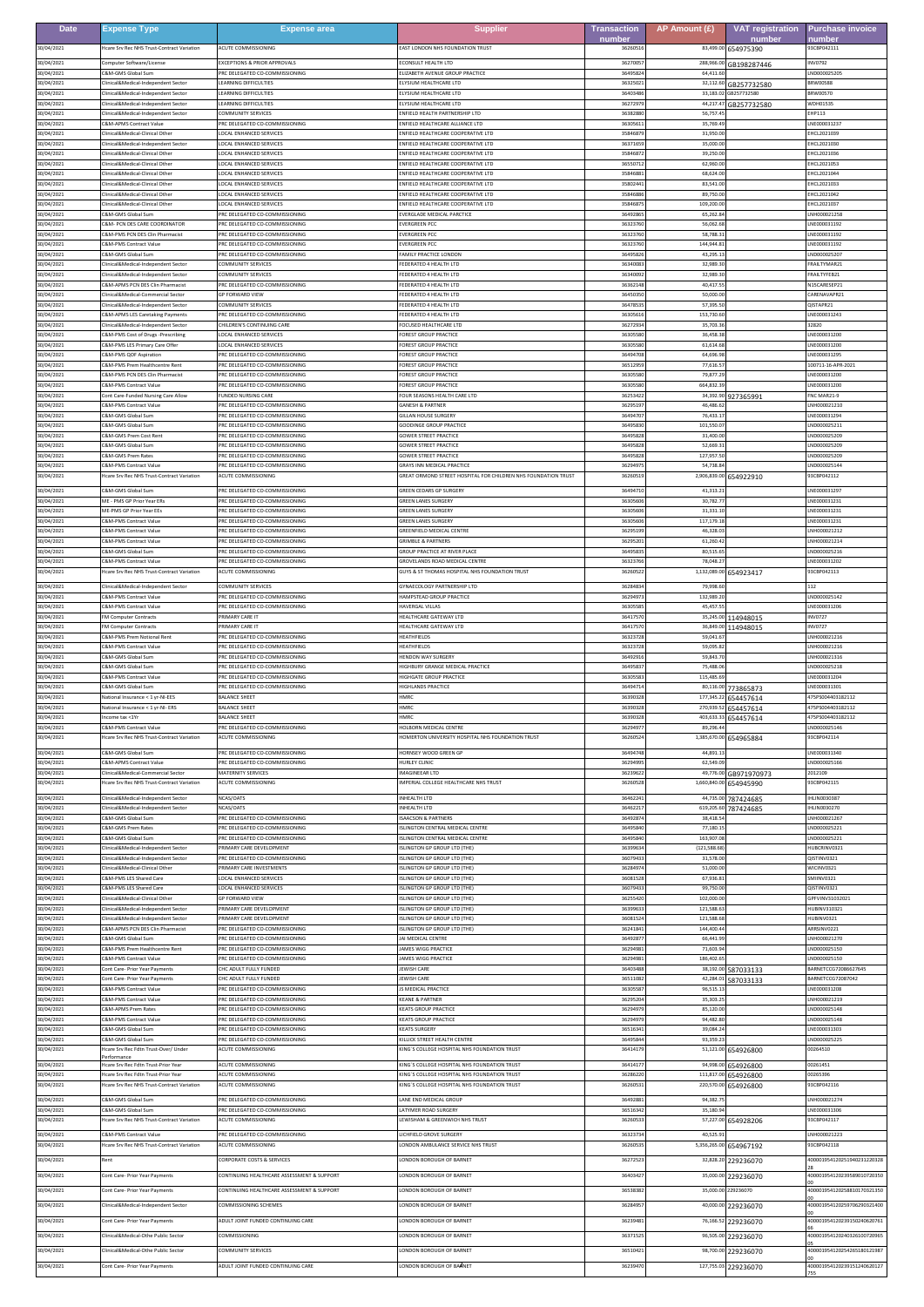| <b>Date</b>              | <b>Expense Type</b>                                                               | <b>Expense area</b>                                                    | <b>Supplier</b>                                                                                     | <b>Transaction</b>  | AP Amount (£)            | <b>VAT registration</b>                     | <b>Purchase invoice</b>                   |
|--------------------------|-----------------------------------------------------------------------------------|------------------------------------------------------------------------|-----------------------------------------------------------------------------------------------------|---------------------|--------------------------|---------------------------------------------|-------------------------------------------|
| 30/04/2021               | Icare Sry Rec NHS Trust-Contract Variation                                        | <b>ACUTE COMMISSIONING</b>                                             | EAST LONDON NHS FOUNDATION TRUST                                                                    | number<br>3626051   | 83,499.00                | number<br>654975390                         | number<br>93CBP042111                     |
| 30/04/2021               | Computer Software/License                                                         | <b>EXCEPTIONS &amp; PRIOR APPROVALS</b>                                | <b>FCONSULT HEALTH LTD</b>                                                                          | 3627005             | 288,966.0                | GB198287446                                 | NV0792                                    |
| 30/04/2021<br>30/04/2021 | &M-GMS Global Sur<br>linical&Medical-Independent Sector                           | RC DELEGATED CO-COMMISSIONING<br><b>EARNING DIFFICULTIES</b>           | IZABETH AVENUE GROUP PRACTICE<br>ELYSIUM HEALTHCARE LTD                                             | 364958<br>3632502   | 64,411.6<br>32.112.60    | GB257732580                                 | ND000025205<br>BRW00588                   |
| 30/04/2021               | linical&Medical-Independent Secto                                                 | <b>EARNING DIFFICULTIES</b>                                            | ELYSIUM HEALTHCARE LTD                                                                              | 3640348             | 33,183.02                | GB257732580                                 | BRW00570                                  |
| 30/04/2021<br>30/04/2021 | inical&Medical-Independent Secto<br>linical&Medical-Independent Sector            | <b>EARNING DIFFICULTIES</b><br>OMMUNITY SERVICES                       | LYSIUM HEALTHCARE LTD<br>INFIELD HEALTH PARTNERSHIP LTD                                             | 362729<br>3638288   | 44,217.4<br>56,757.4     | GB257732580                                 | VDH01535<br>HP113                         |
| 30/04/2021<br>30/04/2021 | C&M-APMS Contract Value<br>linical&Medical-Clinical Othe                          | RC DELEGATED CO-COMMISSIONING<br>OCAL ENHANCED SERVICES                | ENFIELD HEALTHCARE ALLIANCE LTD<br>NFIELD HEALTHCARE COOPERATIVE LTD                                | 3630561<br>3584687  | 35,769.4<br>31,950.      |                                             | LNE000031237<br>HCL2021039                |
| 30/04/2021               | linical&Medical-Independent Sector                                                | OCAL ENHANCED SERVICES                                                 | NFIELD HEALTHCARE COOPERATIVE LTD                                                                   | 3637165             | 35,000.0                 |                                             | HCL2021030                                |
| 30/04/2021<br>30/04/2021 | linical&Medical-Clinical Other<br>linical&Medical-Clinical Othe                   | OCAL ENHANCED SERVICES<br>OCAL ENHANCED SERVICES                       | ENFIELD HEALTHCARE COOPERATIVE LTD<br>INFIELD HEALTHCARE COOPERATIVE LTD                            | 3584687<br>365507   | 39,250.0<br>62,960.0     |                                             | EHCL2021036<br>HCL2021053                 |
| 30/04/2021<br>30/04/2021 | linical&Medical-Clinical Other<br>linical&Medical-Clinical Other                  | OCAL ENHANCED SERVICES<br>OCAL ENHANCED SERVICES                       | INFIELD HEALTHCARE COOPERATIVE LTD<br><b>ENFIFI D HEALTHCARE COOPERATIVE LTD</b>                    | 3584688<br>3580244  | 68,624.0<br>83,541.0     |                                             | EHCL2021044<br>EHCL2021033                |
| 30/04/2021               | nical&Medical-Clinical Othe                                                       | OCAL ENHANCED SERVICES                                                 | NFIELD HEALTHCARE COOPERATIVE LTD                                                                   | 3584688             | 89,750.0                 |                                             | HCL2021042                                |
| 30/04/2021<br>30/04/2021 | inical&Medical-Clinical Other<br>&M-GMS Global Sum                                | OCAL ENHANCED SERVICES<br>RC DELEGATED CO-COMMISSIONING                | NFIELD HEALTHCARE COOPERATIVE LTD<br>VERGLADE MEDICAL PARCTICE                                      | 358468<br>3649286   | 109,200.0<br>65.262.     |                                             | HCL2021037<br>NH000021258                 |
| 30/04/2021<br>30/04/2021 | <b>&amp;M- PCN DES CARE COORDINATOR</b><br>&M-PMS PCN DES Clin Pharmacist         | RC DELEGATED CO-COMMISSIONING<br>RC DELEGATED CO-COMMISSIONING         | <b>VERGREEN PCC</b><br><b>VERGREEN PCC</b>                                                          | 363237<br>3632376   | 56,062.<br>58,788.       |                                             | NE000031192<br>NE000031192                |
| 30/04/2021               | <b>RM-PMS Contract Value</b>                                                      | RC DELEGATED CO-COMMISSIONING                                          | <b>EVERGREEN PCC</b>                                                                                | 3632376             | 144,944.8                |                                             | LNE000031192                              |
| 30/04/2021<br>30/04/2021 | C&M-GMS Global Sun<br>inical&Medical-Independent Secto                            | RC DELEGATED CO-COMMISSIONING<br><b>OMMUNITY SERVICES</b>              | AMILY PRACTICE LONDON<br>EDERATED 4 HEALTH LTD                                                      | 3649582<br>3634008  | 43.295.3<br>32,989.      |                                             | ND000025207<br>RAILTYMAR21                |
| 30/04/2021               | linical&Medical-Independent Sector<br>C&M-APMS PCN DES Clin Pharmacist            | OMMUNITY SERVICES<br>RC DELEGATED CO-COMMISSIONING                     | <b>FEDERATED 4 HEALTH LTD</b><br>FEDERATED 4 HEALTH LTD                                             | 3634009<br>3636214  | 32.989.3<br>40,417.      |                                             | RAILTYFEB21<br>N15CARESEP21               |
| 30/04/2021<br>30/04/2021 | linical&Medical-Commercial Secto                                                  | <b>SP FORWARD VIEW</b>                                                 | EDERATED 4 HEALTH LTD                                                                               | 3645035             | 50,000.                  |                                             | ARENAVAPR21                               |
| 30/04/2021<br>30/04/2021 | linical&Medical-Independent Sector<br><b>E&amp;M-APMS LES Caretaking Payments</b> | COMMUNITY SERVICES<br>RC DELEGATED CO-COMMISSIONING                    | FEDERATED 4 HEALTH LTD<br>EDERATED 4 HEALTH LTD                                                     | 3647853<br>3630561  | 57.395.<br>153,730.6     |                                             | OISTAPR21<br>NE000031243                  |
| 30/04/2021               | inical&Medical-Independent Sector                                                 | HILDREN'S CONTINUING CARE<br>OCAL ENHANCED SERVICES                    | OCUSED HEALTHCARE LTD                                                                               | 3627293             | 35,703.                  |                                             | 2820<br>NF000031200                       |
| 30/04/2021<br>30/04/2021 | SM-PMS Cost of Drugs -Prescribing<br><b>E&amp;M-PMS LES Primary Care Offer</b>    | <b>OCAL ENHANCED SERVICES</b>                                          | OREST GROUP PRACTICE<br>OREST GROUP PRACTICE                                                        | 3630558<br>3630558  | 36,458.3<br>61,614.6     |                                             | NE000031200                               |
| 30/04/2021<br>30/04/2021 | &M-PMS QOF Aspiration<br><b>E&amp;M-PMS Prem Healthcentre Rent</b>                | RC DELEGATED CO-COMMISSIONING<br>PRC DELEGATED CO-COMMISSIONING        | OREST GROUP PRACTICI<br>OREST GROUP PRACTICE                                                        | 364947<br>365129    | 64,696.<br>77.616.       |                                             | NE000031295<br>100711-16-APR-2021         |
| 30/04/2021               | C&M-PMS PCN DES Clin Pharmacist                                                   | RC DELEGATED CO-COMMISSIONING                                          | OREST GROUP PRACTICE                                                                                | 3630558             | 79,877.2                 |                                             | LNE000031200                              |
| 30/04/2021<br>30/04/2021 | &M-PMS Contract Value<br>Cont Care-Funded Nursing Care Allow                      | RC DELEGATED CO-COMMISSIONING<br>UNDED NURSING CARE                    | OREST GROUP PRACTICE<br>FOUR SEASONS HEALTH CARE LTD                                                | 363055<br>3625342   | 664,832.3<br>34.392.90   | 927365991                                   | NE000031200<br>NC MAR21-9                 |
| 30/04/2021<br>30/04/2021 | C&M-PMS Contract Value<br>&M-GMS Global Sun                                       | RC DELEGATED CO-COMMISSIONING<br>RC DELEGATED CO-COMMISSIONING         | <b>GANESH &amp; PARTNER</b><br><b>ILLAN HOUSE SURGER</b>                                            | 3629519<br>364947   | 46,486.6<br>76,433.      |                                             | NH000021210<br>NE000031294                |
| 30/04/2021               | C&M-GMS Global Sum                                                                | RC DELEGATED CO-COMMISSIONING                                          | <b>GOODINGE GROUP PRACTICE</b>                                                                      | 3649583             | 101,550.0                |                                             | ND000025211                               |
| 30/04/2021<br>30/04/2021 | <b>SM-GMS Prem Cost Rent</b><br>&M-GMS Global Sun                                 | RC DELEGATED CO-COMMISSIONING<br>RC DELEGATED CO-COMMISSIONING         | <b>GOWER STREET PRACTICE</b><br>OWER STREET PRACTICE                                                | 3649582<br>3649582  | 31,400.0<br>52,669.      |                                             | ND000025209<br>ND000025209                |
| 30/04/2021               | &M-GMS Prem Rates                                                                 | RC DELEGATED CO-COMMISSIONING<br><b>RC DELEGATED CO-COMMISSIONING</b>  | OWER STREET PRACTICE                                                                                | 3649582             | 127,957.                 |                                             | ND000025209                               |
| 30/04/2021<br>30/04/2021 | <b>SM-PMS Contract Value</b><br>Icare Srv Rec NHS Trust-Contract Variation        | <b>CUTE COMMISSIONING</b>                                              | <b>GRAYS INN MEDICAL PRACTICE</b><br>SREAT ORMOND STREET HOSPITAL FOR CHILDREN NHS FOUNDATION TRUST | 3629497<br>362605   | 54,738.8<br>2,906,839.00 | 654922910                                   | ND000025144<br>93CBP042112                |
| 30/04/2021               | C&M-GMS Global Sum                                                                | PRC DELEGATED CO-COMMISSIONING                                         | GREEN CEDARS GP SURGERY                                                                             | 3649471             | 41.313.2                 |                                             | LNE000031297                              |
| 30/04/2021<br>30/04/2021 | ME - PMS GP Prior Year ERs<br><b>IE-PMS GP Prior Year EEs</b>                     | RC DELEGATED CO-COMMISSIONING<br>RC DELEGATED CO-COMMISSIONING         | <b>GREEN LANES SURGERY</b><br>REEN LANES SURGERY                                                    | 363056<br>363056    | 30,782.<br>31,331.       |                                             | LNE000031231<br>NE000031231               |
| 30/04/2021               | <b>SM-PMS Contract Value</b><br><b>SM-PMS Contract Value</b>                      | PRC DELEGATED CO-COMMISSIONING<br>RC DELEGATED CO-COMMISSIONING        | <b>GREEN LANES SURGERY</b><br>GREENFIELD MEDICAL CENTRE                                             | 3630560<br>3629519  | 117.179.1<br>46,328.0    |                                             | NE000031231<br>NH000021212                |
| 30/04/2021<br>30/04/2021 | &M-PMS Contract Value                                                             | RC DELEGATED CO-COMMISSIONING                                          | RIMBLE & PARTNERS                                                                                   | 362952              | 61,260.                  |                                             | NH000021214                               |
| 30/04/2021<br>30/04/2021 | C&M-GMS Global Sum<br><b>SM-PMS Contract Value</b>                                | RC DELEGATED CO-COMMISSIONING<br>PRC DELEGATED CO-COMMISSIONING        | SROUP PRACTICE AT RIVER PLACE<br><b>GROVELANDS ROAD MEDICAL CENTRE</b>                              | 3649583<br>3632376  | 80,515.6<br>78.048.2     |                                             | ND000025216<br>LNE000031202               |
| 30/04/2021               | care Srv Rec NHS Trust-Contract Variation                                         | <b>CUTE COMMISSIONING</b>                                              | <b>GUYS &amp; ST THOMAS HOSPITAL NHS FOUNDATION TRUST</b>                                           | 3626052             | 1,132,089.00             | 654923417                                   | 3CBP042113                                |
| 30/04/2021<br>30/04/2021 | linical&Medical-Independent Sector<br>C&M-PMS Contract Value                      | <b>COMMUNITY SERVICES</b><br>RC DELEGATED CO-COMMISSIONING             | <b>SYNAECOLOGY PARTNERSHIP LTD</b><br><b>HAMPSTEAD GROUP PRACTICE</b>                               | 3628483<br>362949   | 79,998.6<br>132,989.2    |                                             | 112<br>ND000025142                        |
| 30/04/2021               | <b>&amp;M-PMS Contract Value</b>                                                  | RC DELEGATED CO-COMMISSIONING                                          | AVERGAL VILLAS                                                                                      | 363055              | 45.457.                  |                                             | NE000031206                               |
| 30/04/2021<br>30/04/2021 | M Computer Contracts<br>M Computer Contracts                                      | RIMARY CARE IT<br>RIMARY CARE IT                                       | HEALTHCARE GATEWAY LTD<br>EALTHCARE GATEWAY LTD                                                     | 3641757<br>364175   | 35.245.00<br>36,849.0    | 14948015<br>114948015                       | <b>INV0727</b><br>NV0727                  |
| 30/04/2021<br>30/04/2021 | &M-PMS Prem Notional Rent<br><b>SM-PMS Contract Value</b>                         | RC DELEGATED CO-COMMISSIONING<br>PRC DELEGATED CO-COMMISSIONING        | EATHFIELDS<br>HEATHFIELDS                                                                           | 3632372<br>3632372  | 59,041.<br>59.095.8      |                                             | NH000021216<br>NH000021216                |
| 30/04/2021               | C&M-GMS Global Sum                                                                | RC DELEGATED CO-COMMISSIONING                                          | HENDON WAY SURGERY                                                                                  | 3649291             | 59,843.7                 |                                             | LNH000021316                              |
| 30/04/2021<br>30/04/2021 | &M-GMS Global Sun<br><b>SM-PMS Contract Value</b>                                 | RC DELEGATED CO-COMMISSIONING<br><b>PRC DELEGATED CO-COMMISSIONING</b> | IGHBURY GRANGE MEDICAL PRACTICE<br>HIGHGATE GROUP PRACTICE                                          | 364958<br>3630558   | 75,488.<br>115.485.6     |                                             | ND000025218<br>NE000031204                |
| 30/04/2021<br>30/04/2021 | C&M-GMS Global Sum<br>lational Insurance < 1 yr-NI-EES                            | RC DELEGATED CO-COMMISSIONING<br><b>BALANCE SHEET</b>                  | <b>IIGHLANDS PRACTICE</b><br>IMRC                                                                   | 3649471<br>363903   | 80,116.00<br>177,345.22  | 773865873                                   | NE000031301<br>75PS004403182112           |
| 30/04/2021               | Vational Insurance < 1 yr-NI- ERS                                                 | <b>BALANCE SHEET</b>                                                   | <b>IMRC</b>                                                                                         | 3639032             |                          | 654457614<br>270,939.52 654457614           | 175P5004403182112                         |
| 30/04/2021<br>30/04/2021 | ncome tax <1Yr<br>C&M-PMS Contract Value                                          | ALANCE SHEET<br>RC DELEGATED CO-COMMISSIONING                          | <b>IMRC</b><br>HOLBORN MEDICAL CENTRE                                                               | 36390328<br>3629497 | 89,296.4                 | 403,633.33 654457614                        | 475PS004403182112<br>ND000025146          |
| 30/04/2021               | Icare Srv Rec NHS Trust-Contract Variation                                        | <b>ACUTE COMMISSIONING</b>                                             | <b>IOMERTON UNIVERSITY HOSPITAL NHS FOUNDATION TRUST</b>                                            | 3626052             |                          | 1,385,670.00 654965884                      | 93CBP042114                               |
| 30/04/2021<br>30/04/2021 | C&M-GMS Global Sum<br>&M-APMS Contract Value                                      | PRC DELEGATED CO-COMMISSIONING<br>RC DELEGATED CO-COMMISSIONING        | HORNSEY WOOD GREEN GP<br><b>URLEY CLINIC</b>                                                        | 3649474<br>3629499  | 44,891.1<br>62,549.0     |                                             | LNE000031340<br>ND000025166               |
| 30/04/2021               | Clinical&Medical-Commercial Sector                                                | <b>MATERNITY SERVICES</b>                                              | IMAGINEEAR LTD                                                                                      | 3623962             |                          | 49,776.00 GB971970973                       | 2012109                                   |
| 30/04/2021               | Icare Srv Rec NHS Trust-Contract Variation                                        | <b>ACUTE COMMISSIONING</b>                                             | IMPERIAL COLLEGE HEALTHCARE NHS TRUST<br>INHEALTH LTD                                               | 3626052             |                          | 1,660,840.00 654945990                      | 93CBP042115                               |
| 30/04/2021<br>30/04/2021 | Iinical&Medical-Independent Sector<br>linical&Medical-Independent Sector          | <b>VCAS/OATS</b><br>NCAS/OATS                                          | INHEALTH LTD                                                                                        | 3646224<br>3646221  |                          | 44,735.00 787424685<br>619,205.60 787424685 | HLIN0030387<br><b>HLIN0030270</b>         |
| 30/04/2021<br>30/04/2021 | &M-GMS Global Sum<br>:&M-GMS Prem Rates                                           | RC DELEGATED CO-COMMISSIONING<br>RC DELEGATED CO-COMMISSIONING         | SAACSON & PARTNERS<br>SLINGTON CENTRAL MEDICAL CENTRE                                               | 3649287<br>3649584  | 38,418.5<br>77,180.1     |                                             | NH000021267<br>ND000025221                |
| 30/04/2021               | <b>E&amp;M-GMS Global Sum</b>                                                     | RC DELEGATED CO-COMMISSIONING                                          | SLINGTON CENTRAL MEDICAL CENTRE<br>SLINGTON GP GROUP LTD (THE)                                      | 3649584<br>3639963  | 163,907.0                |                                             | LND000025221                              |
| 30/04/2021<br>30/04/2021 | linical&Medical-Independent Sector<br>inical&Medical-Independent Sector           | RIMARY CARE DEVELOPMENT<br>RC DELEGATED CO-COMMISSIONING               | SLINGTON GP GROUP LTD (THE)                                                                         | 3607943             | (121, 588.6)<br>31,578.0 |                                             | HUBCRINV0321<br>QISTINV0321               |
| 30/04/2021<br>30/04/2021 | linical&Medical-Clinical Other<br>C&M-PMS LES Shared Care                         | <b>PRIMARY CARE INVESTMENTS</b><br>OCAL ENHANCED SERVICES              | SLINGTON GP GROUP LTD (THE)<br><b>SLINGTON GP GROUP LTD (THE)</b>                                   | 3628497<br>3608152  | 51,000.0<br>67,936.8     |                                             | WICINV0321<br><b>SMIINV0321</b>           |
| 30/04/2021               | :&M-PMS LES Shared Care                                                           | OCAL ENHANCED SERVICES<br><b>SP FORWARD VIEW</b>                       | LINGTON GP GROUP LTD (THE)                                                                          | 3607943             | 99,750.0                 |                                             | 15TINV0321                                |
| 30/04/2021<br>30/04/2021 | Clinical&Medical-Clinical Other<br>Clinical&Medical-Independent Sector            | RIMARY CARE DEVELOPMENT                                                | SLINGTON GP GROUP LTD (THE)<br>SLINGTON GP GROUP LTD (THE)                                          | 3625542<br>3639963  | 102,000.0<br>121,588.6   |                                             | GPFVINV31032021<br>HUBINV310321           |
| 30/04/2021<br>30/04/2021 | linical&Medical-Independent Sector<br>C&M-APMS PCN DES Clin Pharmacist            | RIMARY CARE DEVELOPMENT<br>PRC DELEGATED CO-COMMISSIONING              | SLINGTON GP GROUP LTD (THE)<br>SLINGTON GP GROUP LTD (THE)                                          | 360815<br>3624184   | 121,588.<br>144,400.4    |                                             | IUBINV0321<br>ARRSINV0221                 |
| 30/04/2021               | C&M-GMS Global Sum                                                                | RC DELEGATED CO-COMMISSIONING                                          | JAI MEDICAL CENTRE                                                                                  | 3649287             | 66,441.9                 |                                             | LNH000021270                              |
| 30/04/2021<br>30/04/2021 | &M-PMS Prem Healthcentre Rent<br>C&M-PMS Contract Value                           | RC DELEGATED CO-COMMISSIONING<br>PRC DELEGATED CO-COMMISSIONING        | AMES WIGG PRACTICE<br>JAMES WIGG PRACTICE                                                           | 3629498<br>3629498  | 71,603.9<br>186.402.6    |                                             | ND000025150<br>LND000025150               |
| 30/04/2021<br>30/04/2021 | Cont Care- Prior Year Payments<br>ont Care- Prior Year Payments                   | HC ADULT FULLY FUNDED<br>CHC ADULT FULLY FUNDED                        | EWISH CARE<br><b>EWISH CARE</b>                                                                     | 3640348<br>3651108  | 42,284.01                | 38,192.00 587033133<br>587033133            | BARNETCCG72086627645<br>BARNETCCG72087042 |
| 30/04/2021               | C&M-PMS Contract Value                                                            | PRC DELEGATED CO-COMMISSIONING                                         | S MEDICAL PRACTICE                                                                                  | 3630558             | 96,515.1                 |                                             | LNE000031208                              |
| 30/04/2021<br>30/04/2021 | C&M-PMS Contract Value<br><b>&amp;M-APMS Prem Rates</b>                           | PRC DELEGATED CO-COMMISSIONING<br>RC DELEGATED CO-COMMISSIONING        | <b>KEANE &amp; PARTNER</b><br><b>EATS GROUP PRACTICE</b>                                            | 3629520<br>3629497  | 35,303.2<br>85,120.0     |                                             | LNH000021219<br>ND000025148               |
| 30/04/2021<br>30/04/2021 | <b>&amp;M-PMS Contract Value</b><br>C&M-GMS Global Sum                            | RC DELEGATED CO-COMMISSIONING<br>RC DELEGATED CO-COMMISSIONING         | <b>CEATS GROUP PRACTICE</b><br><b>KEATS SURGERY</b>                                                 | 3629497<br>3651634  | 94,482.8<br>39,084.2     |                                             | ND000025148<br>LNE000031303               |
| 30/04/2021               | <b>2&amp;M-GMS Global Sum</b>                                                     | RC DELEGATED CO-COMMISSIONING                                          | <b>ILLICK STREET HEALTH CENTRE</b>                                                                  | 3649584             | 93,359.2                 |                                             | ND000025225                               |
| 30/04/2021               | Icare Srv Rec Fdtn Trust-Over/ Under<br>'erformance                               | <b>ACUTE COMMISSIONING</b>                                             | <b>CING'S COLLEGE HOSPITAL NHS FOUNDATION TRUST</b>                                                 | 3641417             |                          | 51,121.00 654926800                         | 00264510                                  |
| 30/04/2021<br>30/04/2021 | Icare Srv Rec Fdtn Trust-Prior Year<br>Icare Srv Rec Fdtn Trust-Prior Year        | <b>ACUTE COMMISSIONING</b><br>CUTE COMMISSIONING                       | KING'S COLLEGE HOSPITAL NHS FOUNDATION TRUST<br>ING'S COLLEGE HOSPITAL NHS FOUNDATION TRUST         | 3641417<br>3628622  | 94,998.00<br>111,817.00  | 654926800<br>654926800                      | 00261451<br>0265396                       |
| 30/04/2021               | Icare Srv Rec NHS Trust-Contract Variation                                        | <b>ACUTE COMMISSIONING</b>                                             | <b>ING'S COLLEGE HOSPITAL NHS FOUNDATION TRUST</b>                                                  | 3626053             | 220,570.00               | 654926800                                   | 93CBP042116                               |
| 30/04/2021<br>30/04/2021 | C&M-GMS Global Sum<br>C&M-GMS Global Sum                                          | RC DELEGATED CO-COMMISSIONING<br>RC DELEGATED CO-COMMISSIONING         | LANE END MEDICAL GROUP<br>LATYMER ROAD SURGERY                                                      | 3649288<br>3651634  | 94,382.7<br>35,180.9     |                                             | LNH000021274<br>LNE000031306              |
| 30/04/2021               | Icare Srv Rec NHS Trust-Contract Variation                                        | <b>ACUTE COMMISSIONING</b>                                             | LEWISHAM & GREENWICH NHS TRUST                                                                      | 3626053             |                          | 57,227.00 654928206                         | 93CBP042117                               |
| 30/04/2021<br>30/04/2021 | <b>E&amp;M-PMS Contract Value</b><br>Icare Srv Rec NHS Trust-Contract Variation   | PRC DELEGATED CO-COMMISSIONING<br>CUTE COMMISSIONING                   | ICHFIELD GROVE SURGERY<br>ONDON AMBULANCE SERVICE NHS TRUST                                         | 3632373<br>3626053  | 40,525.9<br>5,356,265.00 | 654967192                                   | LNH000021223<br>3CBP042118                |
| 30/04/2021               | Rent                                                                              | <b>CORPORATE COSTS &amp; SERVICES</b>                                  | LONDON BOROUGH OF BARNET                                                                            | 3627252             | 32,828.20                | 229236070                                   | 400001954120251940231220328               |
| 30/04/2021               | Cont Care- Prior Year Payments                                                    | CONTINUING HEALTHCARE ASSESSMENT & SUPPORT                             | ONDON BOROUGH OF BARNET                                                                             | 3640342             | 35,000.00                | 229236070                                   | 400001954120239589010720350               |
| 30/04/2021               | Cont Care- Prior Year Payments                                                    | CONTINUING HEALTHCARE ASSESSMENT & SUPPORT                             | LONDON BOROUGH OF BARNET                                                                            | 3653838             |                          | 35,000.00 229236070                         | 400001954120258810170321350               |
| 30/04/2021               | linical&Medical-Independent Sector                                                | OMMISSIONING SCHEMES                                                   | ONDON BOROUGH OF BARNET                                                                             | 3628495             | 40,000.00                | 229236070                                   | 400001954120259706290321400               |
| 30/04/2021               | Cont Care- Prior Year Payments                                                    | ADULT JOINT FUNDED CONTINUING CARE                                     | LONDON BOROUGH OF BARNET                                                                            | 3623948             |                          | 76,166.52 229236070                         | 400001954120239150240620761               |
| 30/04/2021               | linical&Medical-Othe Public Sector                                                | COMMISSIONING                                                          | ONDON BOROUGH OF BARNET                                                                             | 3637152             | 96,505.00                | 229236070                                   | 400001954120240326100720965               |
| 30/04/2021               | Clinical&Medical-Othe Public Sector                                               | COMMUNITY SERVICES                                                     | LONDON BOROUGH OF BARNET                                                                            | 3651042             | 98,700.00                | 229236070                                   | 400001954120254265180121987               |
| 30/04/2021               | ont Care- Prior Year Payments                                                     | ADULT JOINT FUNDED CONTINUING CARE                                     | ONDON BOROUGH OF BARNET                                                                             | 3623947             | 127,755.03               | 229236070                                   | 400001954120239151240620127               |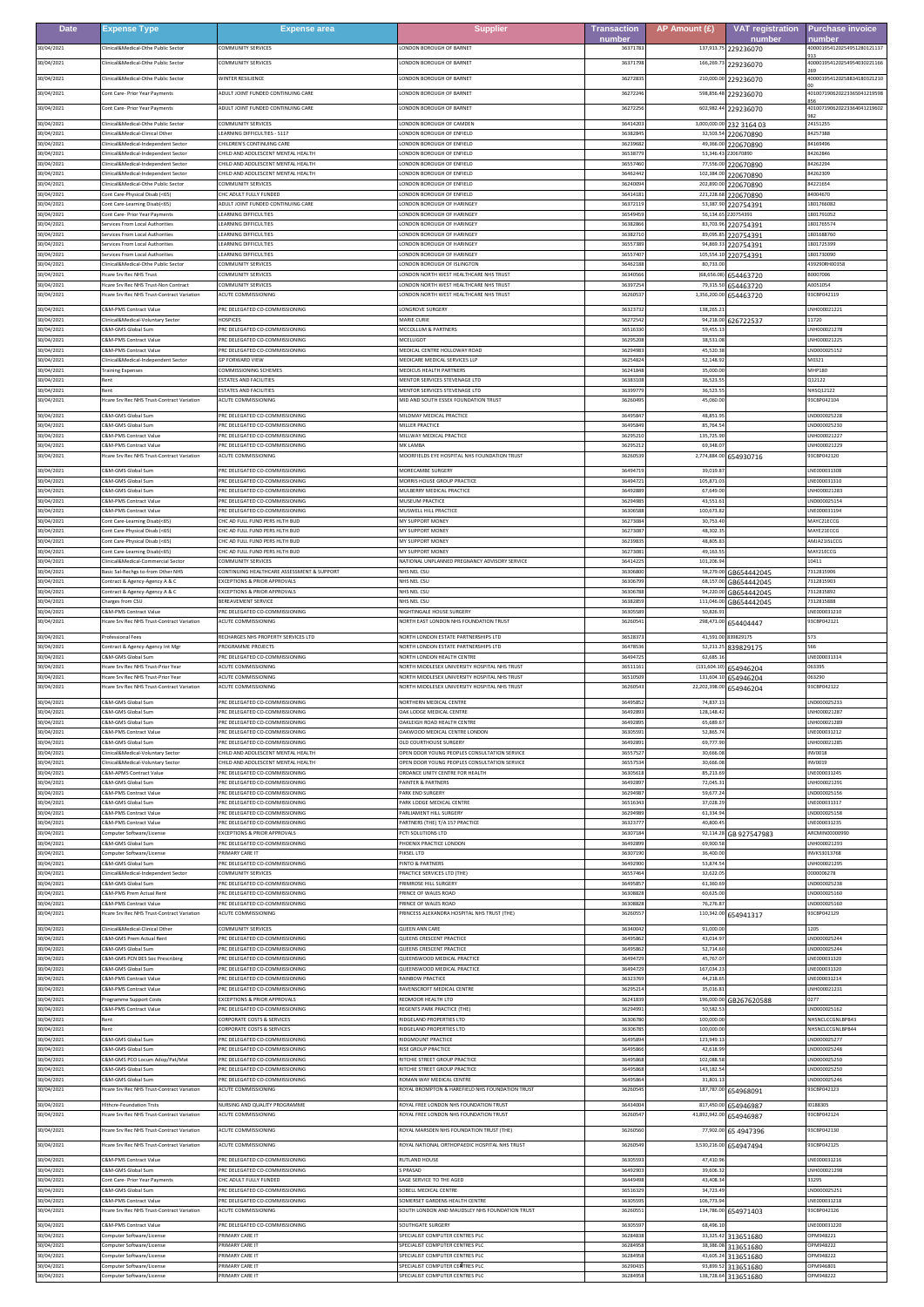| <b>Date</b>              | <b>Expense Type</b>                                                             | <b>Expense area</b>                                                              | <b>Supplier</b>                                                                               | <b>Transaction</b> | AP Amount $(E)$            | <b>VAT registration</b>    | <b>Purchase invoice</b>              |
|--------------------------|---------------------------------------------------------------------------------|----------------------------------------------------------------------------------|-----------------------------------------------------------------------------------------------|--------------------|----------------------------|----------------------------|--------------------------------------|
| 30/04/2021               | linical&Medical-Othe Public Sector                                              | COMMUNITY SERVICES                                                               | LONDON BOROUGH OF BARNET                                                                      | number<br>3637178  | 137,913.75                 | number<br>229236070        | numbeı<br>00001954120254951280121137 |
| 30/04/2021               | linical&Medical-Othe Public Sector                                              | OMMUNITY SERVICES                                                                | ONDON BOROUGH OF BARNET                                                                       | 3637179            | 166,269.73                 | 229236070                  | 400001954120254954030221166          |
| 30/04/2021               | Clinical&Medical-Othe Public Sector                                             | WINTER RESILIENCE                                                                | LONDON BOROUGH OF BARNET                                                                      | 3627283            | 210,000.00                 | 229236070                  | 400001954120258834180321210          |
| 30/04/2021               | ont Care- Prior Year Payments                                                   | ADULT JOINT FUNDED CONTINUING CARE                                               | ONDON BOROUGH OF BARNET                                                                       | 3627224            | 598,856.48                 | 229236070                  | 401007190620223365041219598          |
| 30/04/2021               | Cont Care- Prior Year Payments                                                  | ADULT JOINT FUNDED CONTINUING CARE                                               | LONDON BOROUGH OF BARNET                                                                      | 3627225            |                            | 602,982.44 229236070       | 401007190620223364041219602          |
| 30/04/2021<br>30/04/2021 | linical&Medical-Othe Public Sector<br>linical&Medical-Clinical Other            | <b>OMMUNITY SERVICES</b><br><b>FARNING DIFFICULTIES - S117</b>                   | ONDON BOROUGH OF CAMDEN<br>ONDON BOROUGH OF ENFIELD                                           | 3641420<br>3638284 | 3,000,000.00<br>32.503.54  | 232 3164 03<br>220670890   | 24151255<br>84257388                 |
| 30/04/2021<br>30/04/2021 | linical&Medical-Independent Sector<br>inical&Medical-Independent Sector         | HILDREN'S CONTINUING CARE<br>HILD AND ADOLESCENT MENTAL HEALTH                   | ONDON BOROUGH OF ENFIELD<br>ONDON BOROUGH OF ENFIELD                                          | 3623968<br>3653877 | 49,366.00<br>53,346.43     | 220670890<br>220670890     | 84169496<br>84262846                 |
| 30/04/2021               | linical&Medical-Independent Sector                                              | HILD AND ADOLESCENT MENTAL HEALTH                                                | ONDON BOROUGH OF ENFIELD                                                                      | 3655746            | 77,556.00                  | 220670890                  | 84262294                             |
| 30/04/2021<br>30/04/2021 | linical&Medical-Indenendent Sector<br>linical&Medical-Othe Public Sector        | HII D AND ADOI ESCENT MENTAL HEALTH<br><b>COMMUNITY SERVICES</b>                 | ONDON BOROUGH OF ENFIELD<br>ONDON BOROUGH OF ENFIELD                                          | 3646244<br>362400  | 102,384.00<br>202,890.0    | 220670890<br>220670890     | 84262309<br>84221654                 |
| 30/04/2021<br>30/04/2021 | Cont Care-Physical Disab (<65)<br>ont Care-Learning Disab(<65)                  | <b>CHC ADULT FULLY FUNDED</b><br>ADULT JOINT FUNDED CONTINUING CARE              | ONDON BOROUGH OF ENFIELD<br>LONDON BOROUGH OF HARINGEY                                        | 3641418<br>3637211 | 221.228.68<br>53,387.90    | 220670890<br>220754391     | 84004670<br>1801766082               |
| 30/04/2021               | ont Care- Prior Year Payments                                                   | <b>EARNING DIFFICULTIES</b>                                                      | <b>ONDON BOROUGH OF HARINGET</b>                                                              | 3654945            | 56,134.6                   | 20754391                   | 801791052                            |
| 30/04/2021<br>30/04/2021 | Services From Local Authorities<br>ervices From Local Authorities               | <b>EARNING DIFFICULTIES</b><br><b>EARNING DIFFICULTIES</b>                       | ONDON BOROUGH OF HARINGEY<br>ONDON BOROUGH OF HARINGEY                                        | 3638286<br>3638271 | 83.703.96<br>89,095.85     | 220754391<br>220754391     | 801765574<br>1801688760              |
| 30/04/2021<br>30/04/2021 | ervices From Local Authorities<br>Services From Local Authorities               | <b>EARNING DIFFICULTIES</b><br><b>EARNING DIFFICULTIES</b>                       | ONDON BOROUGH OF HARINGET<br>ONDON BOROUGH OF HARINGEY                                        | 3655738<br>3655740 | 94,869.33<br>105,554.10    | 220754391<br>220754391     | 801725399<br>1801730090              |
| 30/04/2021               | Clinical&Medical-Othe Public Sector                                             | COMMUNITY SERVICES                                                               | LONDON BOROUGH OF ISLINGTON                                                                   | 3646218            | 80.733.0                   |                            | 439290RH00358                        |
| 30/04/2021<br>30/04/2021 | care Sry Rec NHS Trus<br>Icare Srv Rec NHS Trust-Non Contract                   | OMMUNITY SERVICES<br>OMMUNITY SERVICES                                           | ONDON NORTH WEST HEALTHCARE NHS TRUST<br>ONDON NORTH WEST HEALTHCARE NHS TRUST                | 3634056<br>3639725 | (68, 656.08)<br>79,315.50  | 654463720<br>654463720     | 80007006<br>0051054                  |
| 30/04/2021               | Icare Srv Rec NHS Trust-Contract Variation                                      | <b>ACUTE COMMISSIONING</b>                                                       | ONDON NORTH WEST HEALTHCARE NHS TRUST                                                         | 3626053            | 1,356,200.00               | 654463720                  | 93CBP042119                          |
| 30/04/2021<br>30/04/2021 | C&M-PMS Contract Value<br>linical&Medical-Voluntary Sector                      | RC DELEGATED CO-COMMISSIONING<br><b>HOSPICES</b>                                 | ONGROVE SURGERY<br>MARIE CURIE                                                                | 3632373<br>3627254 | 138,265.2<br>94,218.00     | 626722537                  | NH000021221<br>11720                 |
| 30/04/2021<br>30/04/2021 | C&M-GMS Global Sum<br><b>&amp;M-PMS Contract Value</b>                          | RC DELEGATED CO-COMMISSIONING<br>RC DELEGATED CO-COMMISSIONING                   | MCCOLLUM & PARTNERS<br><b>ACELLIGO</b>                                                        | 3651633<br>3629520 | 59,455.3<br>38,531.0       |                            | NH000021278<br>NH000021225           |
| 30/04/2021               | C&M-PMS Contract Value                                                          | <b>PRC DELEGATED CO-COMMISSIONING</b>                                            | MEDICAL CENTRE HOLLOWAY ROAD                                                                  | 3629498            | 45.520.3                   |                            | ND000025152                          |
| 30/04/2021<br>30/04/2021 | linical&Medical-Independent Sector<br>raining Expenses                          | <b>SP FORWARD VIEW</b><br>OMMISSIONING SCHEMES                                   | MEDICARE MEDICAL SERVICES LLP<br>MEDICUS HEALTH PARTNERS                                      | 3625482<br>3624184 | 52,148.9<br>35,000.        |                            | M0321<br><b>MHP180</b>               |
| 30/04/2021<br>30/04/2021 | Rent                                                                            | <b>ESTATES AND FACILITIES</b><br><b>ESTATES AND FACILITIES</b>                   | MENTOR SERVICES STEVENAGE LTD<br>MENTOR SERVICES STEVENAGE LTD                                | 3638310<br>3639977 | 36.523.5<br>36,523.        |                            | 012122<br>NHSQ12122                  |
| 30/04/2021               | Icare Sry Rec NHS Trust-Contract Variation                                      | <b>CUTE COMMISSIONING</b>                                                        | AID AND SOUTH ESSEX FOUNDATION TRUST                                                          | 362604             | 45,060.                    |                            | 3CBP042104                           |
| 30/04/2021               | C&M-GMS Global Sum<br>C&M-GMS Global Sum                                        | PRC DELEGATED CO-COMMISSIONING<br>RC DELEGATED CO-COMMISSIONING                  | MILDMAY MEDICAL PRACTICE                                                                      | 3649584<br>3649584 | 48.851.9                   |                            | LND000025228                         |
| 30/04/2021<br>30/04/2021 | <b>SM-PMS Contract Value</b>                                                    | RC DELEGATED CO-COMMISSIONING                                                    | MILLER PRACTICE<br>MILLWAY MEDICAL PRACTICE                                                   | 362952             | 85,764.9<br>135,725.9      |                            | ND000025230<br>NH000021227           |
| 30/04/2021<br>30/04/2021 | C&M-PMS Contract Value<br>Icare Srv Rec NHS Trust-Contract Variation            | PRC DELEGATED CO-COMMISSIONING<br><b>ACUTE COMMISSIONING</b>                     | MK LAMBA<br>MOORFIELDS EYE HOSPITAL NHS FOUNDATION TRUST                                      | 3629521<br>3626053 | 69.348.0<br>2,774,884.00   | 654930716                  | NH000021229<br>93CBP042120           |
| 30/04/2021               | <b>E&amp;M-GMS Global Sum</b>                                                   | RC DELEGATED CO-COMMISSIONING                                                    | MORECAMBE SURGERY                                                                             | 3649471            | 39,019.8                   |                            | NE000031308                          |
| 30/04/2021<br>30/04/2021 | <b>SM-GMS Global Sum</b><br><b>2&amp;M-GMS Global Sum</b>                       | PRC DELEGATED CO-COMMISSIONING<br>RC DELEGATED CO-COMMISSIONING                  | MORRIS HOUSE GROUP PRACTICE<br>MULBERRY MEDICAL PRACTICE                                      | 3649472<br>3649288 | 105.871.0<br>67,649.0      |                            | LNE000031310<br>NH000021283          |
| 30/04/2021               | <b>SM-PMS Contract Value</b>                                                    | RC DELEGATED CO-COMMISSIONING                                                    | MUSEUM PRACTICE                                                                               | 3629498            | 43,551.                    |                            | ND000025154                          |
| 30/04/2021<br>30/04/2021 | <b>E&amp;M-PMS Contract Value</b><br>nt Care-Learning Disab(<65)                | PRC DELEGATED CO-COMMISSIONING<br>HC AD FULL FUND PERS HLTH BUD                  | MUSWELL HILL PRACTICE<br>IY SUPPORT MONE                                                      | 3630658<br>3627308 | 100.673.8<br>30,753.4      |                            | LNE000031194<br>MAYC21ECCG           |
| 30/04/2021<br>30/04/2021 | ont Care-Physical Disab (<65)<br>Cont Care-Physical Disab (<65)                 | HC AD FULL FUND PERS HLTH BUD<br>HC AD FULL FUND PERS HLTH BUD                   | MY SUPPORT MONEY<br>MY SUPPORT MONEY                                                          | 3627308<br>3623983 | 48,302.3<br>48.805.8       |                            | MAYE21ECCG<br>AMJA21ISLCCG           |
| 30/04/2021               | ont Care-Learning Disab(<65)                                                    | HC AD FULL FUND PERS HLTH BUD                                                    | MY SUPPORT MONEY                                                                              | 3627308            | 49,163.                    |                            | MAY21ECCG                            |
| 30/04/2021<br>30/04/2021 | inical&Medical-Commercial Sector<br><b>Basic Sal-Rechgs to-from Other NHS</b>   | OMMUNITY SERVICES<br>CONTINUING HEALTHCARE ASSESSMENT & SUPPORT                  | NATIONAL UNPLANNED PREGNANCY ADVISORY SERVICE<br>NHS NEL CSL                                  | 3641422<br>3630680 | 101,206.9<br>58,279.00     | GB654442045                | 0411<br>7312815906                   |
| 30/04/2021<br>30/04/2021 | ontract & Agency-Agency A & C<br>ontract & Agency-Agency A & C                  | <b>XCEPTIONS &amp; PRIOR APPROVALS</b><br><b>XCEPTIONS &amp; PRIOR APPROVALS</b> | NHS NEL CSU<br>NHS NEL CSU                                                                    | 3630679<br>3630678 | 68,157.00<br>94,220.00     | GB654442045                | 7312815903<br>312815892              |
| 30/04/2021               | Charges from CSU                                                                | <b>BEREAVEMENT SERVICE</b>                                                       | NHS NEL CSU                                                                                   | 3638285            | 111,046.00                 | GB654442045<br>GB654442045 | 312815888                            |
| 30/04/2021<br>30/04/2021 | C&M-PMS Contract Value<br>Icare Srv Rec NHS Trust-Contract Variation            | RC DELEGATED CO-COMMISSIONING<br><b>ACUTE COMMISSIONING</b>                      | NIGHTINGALE HOUSE SURGERY<br>VORTH EAST LONDON NHS FOUNDATION TRUST                           | 3630558<br>3626054 | 50,826.9<br>298,471.00     | 654404447                  | LNE000031210<br>3CBP042121           |
| 30/04/2021               | Professional Fees                                                               | RECHARGES NHS PROPERTY SERVICES LTD                                              | NORTH LONDON ESTATE PARTNERSHIPS LTD                                                          | 3652837            |                            | 41.591.00 839829175        | 573                                  |
| 30/04/2021<br>30/04/2021 | ontract & Agency-Agency Int Mgr<br>&M-GMS Global Sum                            | ROGRAMME PROJECTS<br>RC DELEGATED CO-COMMISSIONING                               | ORTH LONDON ESTATE PARTNERSHIPS LTD<br><b>VORTH LONDON HEALTH CENTRE</b>                      | 3647853<br>3649472 | 52,211.25<br>62,685.1      | 839829175                  | NE000031314                          |
| 30/04/2021               | Hcare Srv Rec NHS Trust-Prior Year                                              | <b>ACUTE COMMISSIONING</b>                                                       | NORTH MIDDI FSEX UNIVERSITY HOSPITAL NHS TRUST                                                | 3651116            | (131, 604.10)              | 654946204                  | 063395                               |
| 30/04/2021<br>30/04/2021 | Icare Srv Rec NHS Trust-Prior Yea<br>Icare Srv Rec NHS Trust-Contract Variation | <b>CUTE COMMISSIONING</b><br><b>ICUTE COMMISSIONING</b>                          | NORTH MIDDLESEX UNIVERSITY HOSPITAL NHS TRUST<br>ORTH MIDDLESEX UNIVERSITY HOSPITAL NHS TRUST | 3651050<br>3626054 | 131,604.1<br>22,202,398.00 | 654946204<br>654946204     | 063290<br>3CBP042122                 |
| 30/04/2021               | C&M-GMS Global Sum                                                              | PRC DELEGATED CO-COMMISSIONING                                                   | NORTHERN MEDICAL CENTRE                                                                       | 3649585            | 74.837.1                   |                            | LND000025233                         |
| 30/04/2021<br>30/04/2021 | S&M-GMS Global Sum<br>&M-GMS Global Sum                                         | RC DELEGATED CO-COMMISSIONING<br>RC DELEGATED CO-COMMISSIONING                   | AK LODGE MEDICAL CENTRE<br>AKLEIGH ROAD HEALTH CENTRE                                         | 3649289<br>3649289 | 128,148.42<br>65,689.6     |                            | NH000021287<br>NH000021289           |
| 30/04/2021<br>30/04/2021 | C&M-PMS Contract Value<br>S&M-GMS Global Sun                                    | PRC DELEGATED CO-COMMISSIONING<br>PRC DELEGATED CO-COMMISSIONING                 | <b>DAKWOOD MEDICAL CENTRE LONDON</b><br>OLD COURTHOUSE SURGERY                                | 3630559<br>3649289 | 52,865.<br>69,777.9        |                            | LNE000031212<br>NH000021285          |
| 30/04/2021               | Clinical&Medical-Voluntary Sector                                               | CHILD AND ADOLESCENT MENTAL HEALTH                                               | OPEN DOOR YOUNG PEOPLES CONSULTATION SERVICE                                                  | 3655752            | 30,666.0                   |                            | NV0018                               |
| 30/04/2021<br>30/04/2021 | linical&Medical-Voluntary Sector<br>&M-APMS Contract Value                      | HILD AND ADOLESCENT MENTAL HEALTH<br>RC DELEGATED CO-COMMISSIONING               | OPEN DOOR YOUNG PEOPLES CONSULTATION SERVICE<br>RDANCE UNITY CENTRE FOR HEALTH                | 3655753<br>363056  | 30.666.0<br>85,213.6       |                            | NV0019<br>NE000031245                |
| 30/04/2021<br>30/04/2021 | &M-GMS Global Sum<br>:&M-PMS Contract Value                                     | RC DELEGATED CO-COMMISSIONING<br>RC DELEGATED CO-COMMISSIONING                   | AINTER & PARTNERS<br>ARK END SURGERY                                                          | 3649289<br>3629498 | 72,045.3<br>59.677.2       |                            | NH000021291<br>ND000025156           |
| 30/04/2021               | &M-GMS Global Sur                                                               | RC DELEGATED CO-COMMISSIONING                                                    | PARK LODGE MEDICAL CENTRI                                                                     | 3651634            | 37,028.2                   |                            | NE000031317                          |
| 30/04/2021<br>30/04/2021 | <b>E&amp;M-PMS Contract Value</b><br>C&M-PMS Contract Value                     | RC DELEGATED CO-COMMISSIONING<br>PRC DELEGATED CO-COMMISSIONING                  | PARLIAMENT HILL SURGERY<br>PARTNERS (THE) T/A 157 PRACTICE                                    | 362949<br>3632377  | 61,334.9<br>40.800.4       |                            | ND000025158<br>LNE000031235          |
| 30/04/2021<br>30/04/2021 | omputer Software/License<br>&M-GMS Global Sum                                   | <b>EXCEPTIONS &amp; PRIOR APPROVALS</b><br>RC DELEGATED CO-COMMISSIONING         | CTI SOLUTIONS LTD<br>HOENIX PRACTICE LONDON                                                   | 3630718<br>3649289 | 92,114.28<br>69,900.5      | GB 927547983               | ARCMIN0000099<br>NH000021293         |
| 30/04/2021               | "omnuter Software/License                                                       | RIMARY CARE IT                                                                   | <b>IKSEL LTD</b>                                                                              | 3630719            | 36.400.                    |                            | INVK53013768                         |
| 30/04/2021<br>30/04/2021 | C&M-GMS Global Sun<br>linical&Medical-Independent Secto                         | PRC DELEGATED CO-COMMISSIONING<br>OMMUNITY SERVICES                              | <b>INTO &amp; PARTNERS</b><br>PRACTICE SERVICES LTD (THE)                                     | 3649290<br>3655746 | 53,874.<br>32,622.0        |                            | NH000021295<br>000006278             |
| 30/04/2021<br>30/04/2021 | C&M-GMS Global Sum<br>C&M-PMS Prem Actual Ren                                   | PRC DELEGATED CO-COMMISSIONING<br>RC DELEGATED CO-COMMISSIONING                  | PRIMROSE HILL SLIRGERY<br>RINCE OF WALES ROAD                                                 | 3649585<br>3630882 | 61.360.6<br>60,625.0       |                            | ND000025238<br>ND000025160           |
| 30/04/2021               | &M-PMS Contract Value                                                           | RC DELEGATED CO-COMMISSIONING                                                    | RINCE OF WALES ROAD                                                                           | 3630882            | 76,276.8                   |                            | ND000025160                          |
| 30/04/2021<br>30/04/2021 | Icare Srv Rec NHS Trust-Contract Variation<br>Clinical&Medical-Clinical Other   | <b><i>CUTE COMMISSIONING</i></b><br>COMMUNITY SERVICES                           | RINCESS ALEXANDRA HOSPITAL NHS TRUST (THE)<br>QUEEN ANN CAR                                   | 3626055<br>3634004 | 110,342.00<br>91,000.0     | 654941317                  | 93CBP042129<br>205                   |
| 30/04/2021               | C&M-GMS Prem Actual Rent                                                        | RC DELEGATED CO-COMMISSIONING                                                    | QUEENS CRESCENT PRACTICE                                                                      | 364958             | 43,014.                    |                            | ND000025244                          |
| 30/04/2021<br>30/04/2021 | C&M-GMS Global Sum<br>&M-GMS PCN DES Soc Prescribing                            | PRC DELEGATED CO-COMMISSIONING<br>RC DELEGATED CO-COMMISSIONING                  | QUEENS CRESCENT PRACTICE<br>UEENSWOOD MEDICAL PRACTICE                                        | 364958<br>364947   | 52.714.6<br>45,767.0       |                            | LND000025244<br>NE000031320          |
| 30/04/2021<br>30/04/2021 | &M-GMS Global Sum<br>&M-PMS Contract Value                                      | RC DELEGATED CO-COMMISSIONING<br>RC DELEGATED CO-COMMISSIONING                   | <b>IUEENSWOOD MEDICAL PRACTICE</b><br>MINBOW PRACTICE                                         | 3649472<br>3632376 | 167,034.2<br>44.218.6      |                            | NE000031320<br>LNE000031214          |
| 30/04/2021               | C&M-PMS Contract Value                                                          | RC DELEGATED CO-COMMISSIONING                                                    | RAVENSCROFT MEDICAL CENTRE                                                                    | 3629521            | 35,016.8                   |                            | NH000021231                          |
| 30/04/2021<br>30/04/2021 | rogramme Support Costs<br>C&M-PMS Contract Value                                | <b>XCEPTIONS &amp; PRIOR APPROVALS</b><br>PRC DELEGATED CO-COMMISSIONING         | REDMOOR HEALTH LTD<br>REGENTS PARK PRACTICE (THE)                                             | 3624183<br>3629499 | 196,000.00<br>50.582.5     | GB267620588                | ND000025162                          |
| 30/04/2021<br>30/04/2021 |                                                                                 | <b>CORPORATE COSTS &amp; SERVICES</b><br>ORPORATE COSTS & SERVICES               | RIDGELAND PROPERTIES LTD<br><b>IDGELAND PROPERTIES LTD</b>                                    | 3630678<br>3630678 | 100,000.0<br>100,000.0     |                            | NHSNCLCCGNLBPB43<br>NHSNCLCCGNLBPB44 |
| 30/04/2021               | <b>E&amp;M-GMS Global Sum</b>                                                   | PRC DELEGATED CO-COMMISSIONING                                                   | <b>RIDGMOUNT PRACTICE</b>                                                                     | 3649589            | 123,949.1                  |                            | LND000025277                         |
| 30/04/2021<br>30/04/2021 | C&M-GMS Global Sum<br>C&M-GMS PCO Locum Adop/Pat/Mat                            | PRC DELEGATED CO-COMMISSIONING<br>PRC DELEGATED CO-COMMISSIONING                 | RISE GROUP PRACTICE<br><b>RITCHIE STREET GROUP PRACTICE</b>                                   | 364958<br>364958   | 42,618.9<br>102,088.       |                            | ND000025248<br>ND000025250           |
| 30/04/2021<br>30/04/2021 | C&M-GMS Global Sum<br>C&M-GMS Global Sum                                        | PRC DELEGATED CO-COMMISSIONING<br>PRC DELEGATED CO-COMMISSIONING                 | RITCHIE STREET GROUP PRACTICE<br>ROMAN WAY MEDICAL CENTRE                                     | 3649586<br>3649586 | 143.182.<br>31,801.1       |                            | ND000025250<br>ND000025246           |
| 30/04/2021               | care Srv Rec NHS Trust-Contract Variation                                       | CUTE COMMISSIONING                                                               | OYAL BROMPTON & HAREFIELD NHS FOUNDATION TRUST                                                | 3626054            | 187,787.00                 | 654968091                  | 3CBP042123                           |
| 30/04/2021<br>30/04/2021 | <b>Ilthcre-Foundation Trsts</b><br>Icare Srv Rec NHS Trust-Contract Variation   | <b>NURSING AND QUALITY PROGRAMME</b><br><b><i>CUTE COMMISSIONING</i></b>         | ROYAL FREE LONDON NHS FOUNDATION TRUST<br>ROYAL FREE LONDON NHS FOUNDATION TRUST              | 364340<br>362605   | 817,450.00<br>41,892,942.0 | 654946987                  | 0188305<br>3CBP042124                |
| 30/04/2021               | Hcare Srv Rec NHS Trust-Contract Variation                                      | ACUTE COMMISSIONING                                                              | ROYAL MARSDEN NHS FOUNDATION TRUST (THE)                                                      | 3626056            | 77,902.00                  | 654946987<br>65 4947396    | 93CBP042130                          |
| 30/04/2021               | Icare Srv Rec NHS Trust-Contract Variation                                      | ACUTE COMMISSIONING                                                              | ROYAL NATIONAL ORTHOPAEDIC HOSPITAL NHS TRUST                                                 | 3626054            | 3,530,216.00               | 654947494                  | 93CBP042125                          |
| 30/04/2021               | <b>E&amp;M-PMS Contract Value</b>                                               | RC DELEGATED CO-COMMISSIONING                                                    | RUTLAND HOUSE                                                                                 | 363055             | 47,410.9                   |                            | NE000031216                          |
| 30/04/2021<br>30/04/2021 | C&M-GMS Global Sum<br>Cont Care- Prior Year Payments                            | PRC DELEGATED CO-COMMISSIONING<br>HC ADULT FULLY FUNDED                          | S PRASAD<br>SAGE SERVICE TO THE AGED                                                          | 3649290<br>3644949 | 39,606.3<br>43,408.3       |                            | LNH000021298<br>33295                |
| 30/04/2021<br>30/04/2021 | C&M-GMS Global Sum<br><b>SM-PMS Contract Value</b>                              | PRC DELEGATED CO-COMMISSIONING<br>PRC DELEGATED CO-COMMISSIONING                 | SOBELL MEDICAL CENTRE<br>SOMERSET GARDENS HEALTH CENTRE                                       | 3651632            | 34,723.4<br>106,773.9      |                            | ND000025251<br>LNE000031218          |
| 30/04/2021               | care Srv Rec NHS Trust-Contract Variation                                       | <b>CUTE COMMISSIONING</b>                                                        | <b>SOUTH LONDON AND MAUDSLEY NHS FOUNDATION TRUST</b>                                         | 3630559<br>3626055 | 134,786.00                 | 654971403                  | 3CBP042126                           |
| 30/04/2021               | C&M-PMS Contract Value                                                          | PRC DELEGATED CO-COMMISSIONING                                                   | SOLITHGATE SLIRGERY                                                                           | 3630559            | 68.496.1                   |                            | NE000031220                          |
| 30/04/2021<br>30/04/2021 | Computer Software/License<br>omputer Software/License                           | RIMARY CARE IT<br><b>PRIMARY CARE IT</b>                                         | SPECIALIST COMPUTER CENTRES PLC<br>SPECIALIST COMPUTER CENTRES PLC                            | 3628483<br>362849  | 33,325.42<br>38,386.0      | 313651680<br>313651680     | JPM948221<br>PM948222                |
| 30/04/2021<br>30/04/2021 | Computer Software/License<br>omputer Software/Licens                            | PRIMARY CARE IT<br>RIMARY CARE IT                                                | SPECIALIST COMPUTER CENTRES PLC<br>SPECIALIST COMPUTER CENTRES PLC                            | 3628495<br>3629043 | 43.605.24<br>93,899.52     | 313651680<br>313651680     | PM948222<br>PM946801                 |
| 30/04/2021               | mputer Software/License                                                         | RIMARY CARE IT                                                                   | <b>SPECIALIST COMPUTER CENTRES PLC</b>                                                        | 3628495            |                            | 138,728.64 313651680       | PM948222                             |